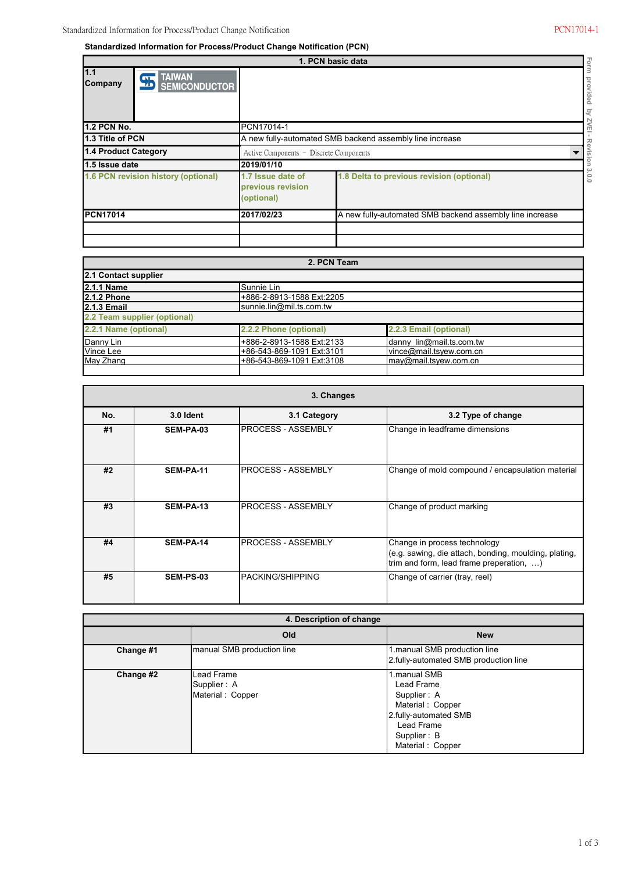**Standardized Information for Process/Product Change Notification (PCN)**

|                                     | 1. PCN basic data                 |                                                                        |                                           |        |  |  |
|-------------------------------------|-----------------------------------|------------------------------------------------------------------------|-------------------------------------------|--------|--|--|
| 1.1<br>Company                      | <b>95 TAIWAN</b><br>SEMICONDUCTOR |                                                                        |                                           |        |  |  |
| <b>1.2 PCN No.</b>                  |                                   | PCN17014-1                                                             |                                           | п      |  |  |
| 1.3 Title of PCN                    |                                   | A new fully-automated SMB backend assembly line increase               |                                           |        |  |  |
| 1.4 Product Category                |                                   | Active Components - Discrete Components                                |                                           |        |  |  |
| 1.5 Issue date                      |                                   | 2019/01/10                                                             |                                           |        |  |  |
| 1.6 PCN revision history (optional) |                                   | 1.7 Issue date of<br>previous revision<br>(optional)                   | 1.8 Delta to previous revision (optional) | c<br>Έ |  |  |
| <b>PCN17014</b>                     |                                   | A new fully-automated SMB backend assembly line increase<br>2017/02/23 |                                           |        |  |  |

| 2. PCN Team                  |                           |                          |  |  |  |  |
|------------------------------|---------------------------|--------------------------|--|--|--|--|
| 2.1 Contact supplier         |                           |                          |  |  |  |  |
| 2.1.1 Name                   | Sunnie Lin                |                          |  |  |  |  |
| <b>2.1.2 Phone</b>           | +886-2-8913-1588 Ext:2205 |                          |  |  |  |  |
| <b>2.1.3 Email</b>           | sunnie.lin@mil.ts.com.tw  |                          |  |  |  |  |
| 2.2 Team supplier (optional) |                           |                          |  |  |  |  |
| 2.2.1 Name (optional)        | 2.2.2 Phone (optional)    | 2.2.3 Email (optional)   |  |  |  |  |
| Danny Lin                    | +886-2-8913-1588 Ext:2133 | danny lin@mail.ts.com.tw |  |  |  |  |
| Vince Lee                    | +86-543-869-1091 Ext:3101 | vince@mail.tsvew.com.cn  |  |  |  |  |
| May Zhang                    | +86-543-869-1091 Ext:3108 | Imav@mail.tsvew.com.cn   |  |  |  |  |
|                              |                           |                          |  |  |  |  |

|     | 3. Changes       |                           |                                                                                                                                   |  |  |  |  |
|-----|------------------|---------------------------|-----------------------------------------------------------------------------------------------------------------------------------|--|--|--|--|
| No. | 3.0 Ident        | 3.1 Category              | 3.2 Type of change                                                                                                                |  |  |  |  |
| #1  | <b>SEM-PA-03</b> | <b>PROCESS - ASSEMBLY</b> | Change in leadframe dimensions                                                                                                    |  |  |  |  |
| #2  | SEM-PA-11        | <b>PROCESS - ASSEMBLY</b> | Change of mold compound / encapsulation material                                                                                  |  |  |  |  |
| #3  | <b>SEM-PA-13</b> | <b>PROCESS - ASSEMBLY</b> | Change of product marking                                                                                                         |  |  |  |  |
| #4  | SEM-PA-14        | <b>PROCESS - ASSEMBLY</b> | Change in process technology<br>(e.g. sawing, die attach, bonding, moulding, plating,<br>trim and form, lead frame preperation, ) |  |  |  |  |
| #5  | <b>SEM-PS-03</b> | <b>PACKING/SHIPPING</b>   | Change of carrier (tray, reel)                                                                                                    |  |  |  |  |

| 4. Description of change |                                               |                                                                                                                                         |  |  |  |
|--------------------------|-----------------------------------------------|-----------------------------------------------------------------------------------------------------------------------------------------|--|--|--|
|                          | Old                                           | <b>New</b>                                                                                                                              |  |  |  |
| Change #1                | manual SMB production line                    | 1.manual SMB production line<br>2.fully-automated SMB production line                                                                   |  |  |  |
| Change #2                | Lead Frame<br>Supplier: A<br>Material: Copper | 1.manual SMB<br>Lead Frame<br>Supplier: A<br>Material: Copper<br>2.fully-automated SMB<br>Lead Frame<br>Supplier: B<br>Material: Copper |  |  |  |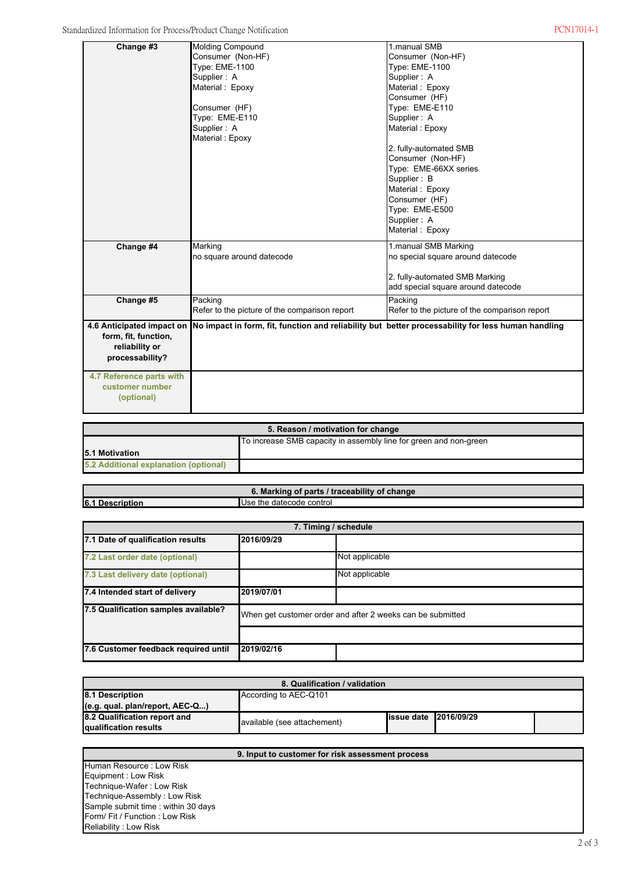| Change #3                 | <b>Molding Compound</b>                                                                            | 1.manual SMB                                  |
|---------------------------|----------------------------------------------------------------------------------------------------|-----------------------------------------------|
|                           | Consumer (Non-HF)                                                                                  | Consumer (Non-HF)                             |
|                           | Type: EME-1100                                                                                     | <b>Type: EME-1100</b>                         |
|                           | Supplier: A                                                                                        | Supplier: A                                   |
|                           | Material: Epoxy                                                                                    | Material: Epoxy                               |
|                           |                                                                                                    | Consumer (HF)                                 |
|                           | Consumer (HF)                                                                                      | Type: EME-E110                                |
|                           | Type: EME-E110                                                                                     | Supplier: A                                   |
|                           | Supplier: A                                                                                        | Material: Epoxy                               |
|                           | Material: Epoxy                                                                                    |                                               |
|                           |                                                                                                    | 2. fully-automated SMB                        |
|                           |                                                                                                    | Consumer (Non-HF)                             |
|                           |                                                                                                    | Type: EME-66XX series                         |
|                           |                                                                                                    | Supplier: B                                   |
|                           |                                                                                                    | Material: Epoxy                               |
|                           |                                                                                                    | Consumer (HF)                                 |
|                           |                                                                                                    | Type: EME-E500                                |
|                           |                                                                                                    | Supplier: A                                   |
|                           |                                                                                                    | Material: Epoxy                               |
| Change #4                 | Marking                                                                                            | 1.manual SMB Marking                          |
|                           | no square around datecode                                                                          | no special square around datecode             |
|                           |                                                                                                    |                                               |
|                           |                                                                                                    | 2. fully-automated SMB Marking                |
|                           |                                                                                                    | add special square around datecode            |
| Change #5                 | Packing                                                                                            | Packing                                       |
|                           | Refer to the picture of the comparison report                                                      | Refer to the picture of the comparison report |
| 4.6 Anticipated impact on | No impact in form, fit, function and reliability but better processability for less human handling |                                               |
| form, fit, function,      |                                                                                                    |                                               |
| reliability or            |                                                                                                    |                                               |
| processability?           |                                                                                                    |                                               |
|                           |                                                                                                    |                                               |
| 4.7 Reference parts with  |                                                                                                    |                                               |
| customer number           |                                                                                                    |                                               |
| (optional)                |                                                                                                    |                                               |
|                           |                                                                                                    |                                               |
|                           |                                                                                                    |                                               |

| 5. Reason / motivation for change                                 |  |  |  |  |
|-------------------------------------------------------------------|--|--|--|--|
| To increase SMB capacity in assembly line for green and non-green |  |  |  |  |
| <b>15.1 Motivation</b>                                            |  |  |  |  |
| 5.2 Additional explanation (optional)                             |  |  |  |  |

**6. Marking of parts / traceability of change 6.1 Description** Use the datecode control

| 7. Timing / schedule                 |                                                            |                |  |  |
|--------------------------------------|------------------------------------------------------------|----------------|--|--|
| 7.1 Date of qualification results    | 2016/09/29                                                 |                |  |  |
| 7.2 Last order date (optional)       |                                                            | Not applicable |  |  |
| 7.3 Last delivery date (optional)    | Not applicable                                             |                |  |  |
| 7.4 Intended start of delivery       | 2019/07/01                                                 |                |  |  |
| 7.5 Qualification samples available? | When get customer order and after 2 weeks can be submitted |                |  |  |
|                                      |                                                            |                |  |  |
| 7.6 Customer feedback required until | 2019/02/16                                                 |                |  |  |

| 8. Qualification / validation                         |                             |                                |  |  |  |  |
|-------------------------------------------------------|-----------------------------|--------------------------------|--|--|--|--|
| According to AEC-Q101<br>8.1 Description              |                             |                                |  |  |  |  |
| (e.g. qual. plan/report, AEC-Q)                       |                             |                                |  |  |  |  |
| 8.2 Qualification report and<br>qualification results | available (see attachement) | <b>lissue date 12016/09/29</b> |  |  |  |  |

| 9. Input to customer for risk assessment process |  |  |  |  |
|--------------------------------------------------|--|--|--|--|
| <b>Human Resource: Low Risk</b>                  |  |  |  |  |
| Equipment : Low Risk                             |  |  |  |  |
| Technique-Wafer: Low Risk                        |  |  |  |  |
| Technique-Assembly: Low Risk                     |  |  |  |  |
| Sample submit time: within 30 days               |  |  |  |  |
| Form/Fit / Function: Low Risk                    |  |  |  |  |
| Reliability: Low Risk                            |  |  |  |  |